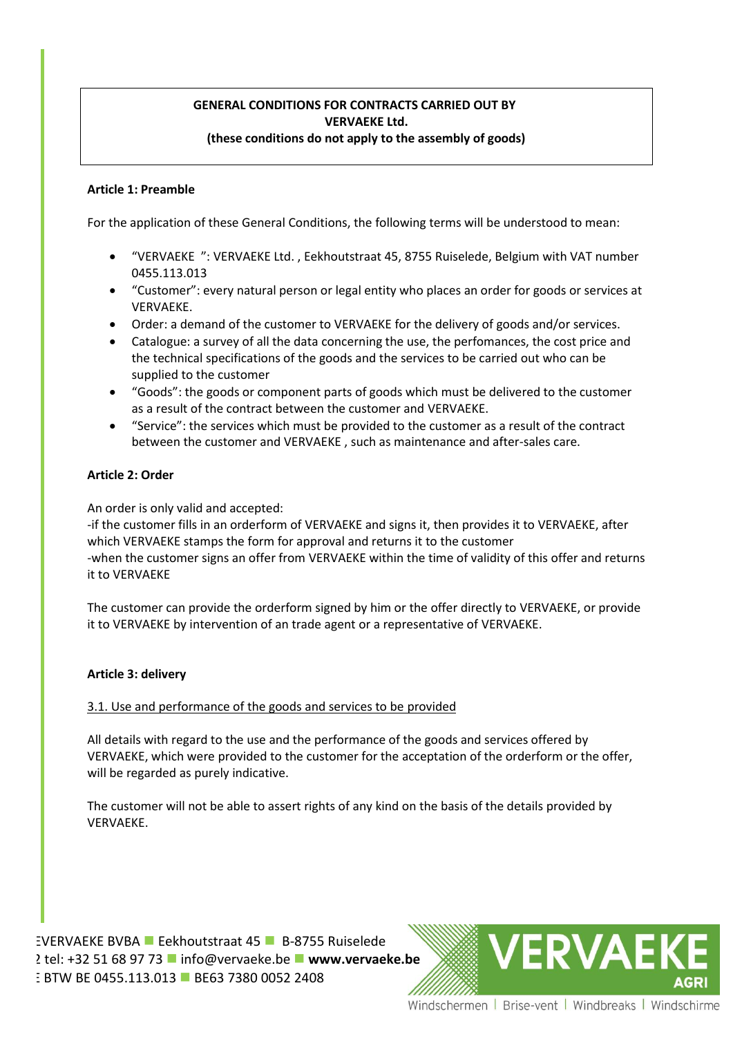# **GENERAL CONDITIONS FOR CONTRACTS CARRIED OUT BY VERVAEKE Ltd. (these conditions do not apply to the assembly of goods)**

## **Article 1: Preamble**

For the application of these General Conditions, the following terms will be understood to mean:

- "VERVAEKE ": VERVAEKE Ltd. , Eekhoutstraat 45, 8755 Ruiselede, Belgium with VAT number 0455.113.013
- "Customer": every natural person or legal entity who places an order for goods or services at VERVAEKE.
- Order: a demand of the customer to VERVAEKE for the delivery of goods and/or services.
- Catalogue: a survey of all the data concerning the use, the perfomances, the cost price and the technical specifications of the goods and the services to be carried out who can be supplied to the customer
- "Goods": the goods or component parts of goods which must be delivered to the customer as a result of the contract between the customer and VERVAEKE.
- "Service": the services which must be provided to the customer as a result of the contract between the customer and VERVAEKE , such as maintenance and after-sales care.

# **Article 2: Order**

An order is only valid and accepted:

-if the customer fills in an orderform of VERVAEKE and signs it, then provides it to VERVAEKE, after which VERVAEKE stamps the form for approval and returns it to the customer -when the customer signs an offer from VERVAEKE within the time of validity of this offer and returns it to VERVAEKE

The customer can provide the orderform signed by him or the offer directly to VERVAEKE, or provide it to VERVAEKE by intervention of an trade agent or a representative of VERVAEKE.

### **Article 3: delivery**

# 3.1. Use and performance of the goods and services to be provided

All details with regard to the use and the performance of the goods and services offered by VERVAEKE, which were provided to the customer for the acceptation of the orderform or the offer, will be regarded as purely indicative.

The customer will not be able to assert rights of any kind on the basis of the details provided by VERVAEKE.

EVERVAEKE BVBA **E** Eekhoutstraat 45 **B-8755 Ruiselede** 2 tel: +32 51 68 97 73 **■** [info@vervaeke.be](mailto:info@vervaeke.be) ■ [www.vervaeke.be](http://www.vervaeke.be/) **E BTW BE 0455.113.013 BE63 7380 0052 2408** 

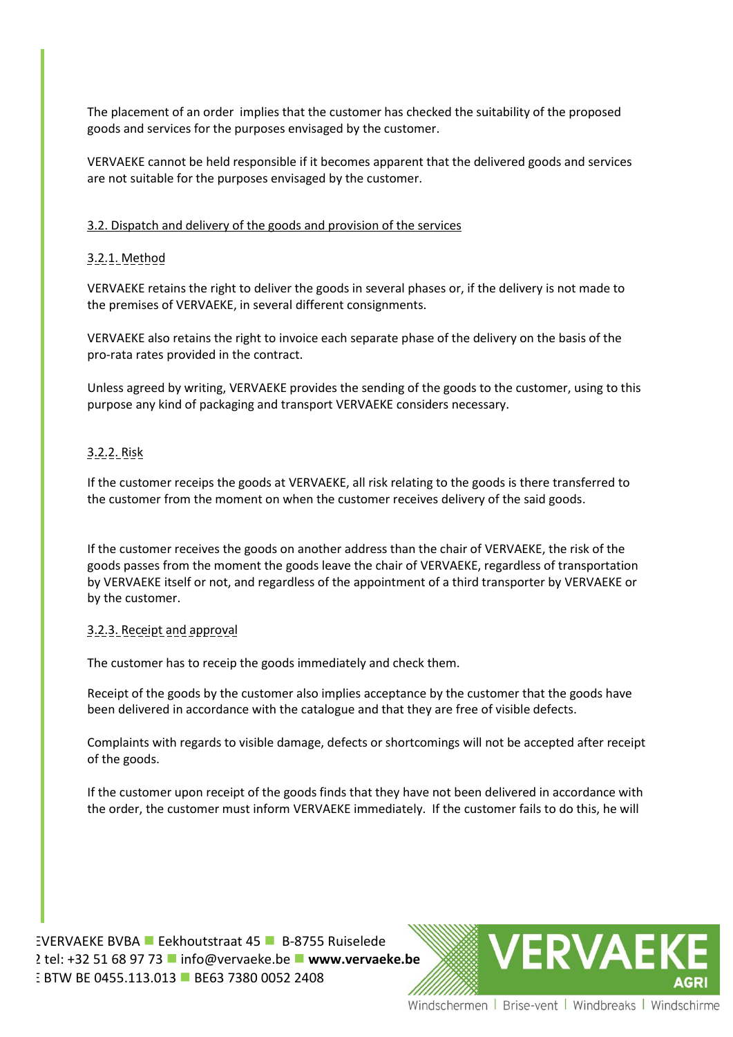The placement of an order implies that the customer has checked the suitability of the proposed goods and services for the purposes envisaged by the customer.

VERVAEKE cannot be held responsible if it becomes apparent that the delivered goods and services are not suitable for the purposes envisaged by the customer.

## 3.2. Dispatch and delivery of the goods and provision of the services

# 3.2.1. Method

VERVAEKE retains the right to deliver the goods in several phases or, if the delivery is not made to the premises of VERVAEKE, in several different consignments.

VERVAEKE also retains the right to invoice each separate phase of the delivery on the basis of the pro-rata rates provided in the contract.

Unless agreed by writing, VERVAEKE provides the sending of the goods to the customer, using to this purpose any kind of packaging and transport VERVAEKE considers necessary.

# 3.2.2. Risk

If the customer receips the goods at VERVAEKE, all risk relating to the goods is there transferred to the customer from the moment on when the customer receives delivery of the said goods.

If the customer receives the goods on another address than the chair of VERVAEKE, the risk of the goods passes from the moment the goods leave the chair of VERVAEKE, regardless of transportation by VERVAEKE itself or not, and regardless of the appointment of a third transporter by VERVAEKE or by the customer.

### 3.2.3. Receipt and approval

The customer has to receip the goods immediately and check them.

Receipt of the goods by the customer also implies acceptance by the customer that the goods have been delivered in accordance with the catalogue and that they are free of visible defects.

Complaints with regards to visible damage, defects or shortcomings will not be accepted after receipt of the goods.

If the customer upon receipt of the goods finds that they have not been delivered in accordance with the order, the customer must inform VERVAEKE immediately. If the customer fails to do this, he will

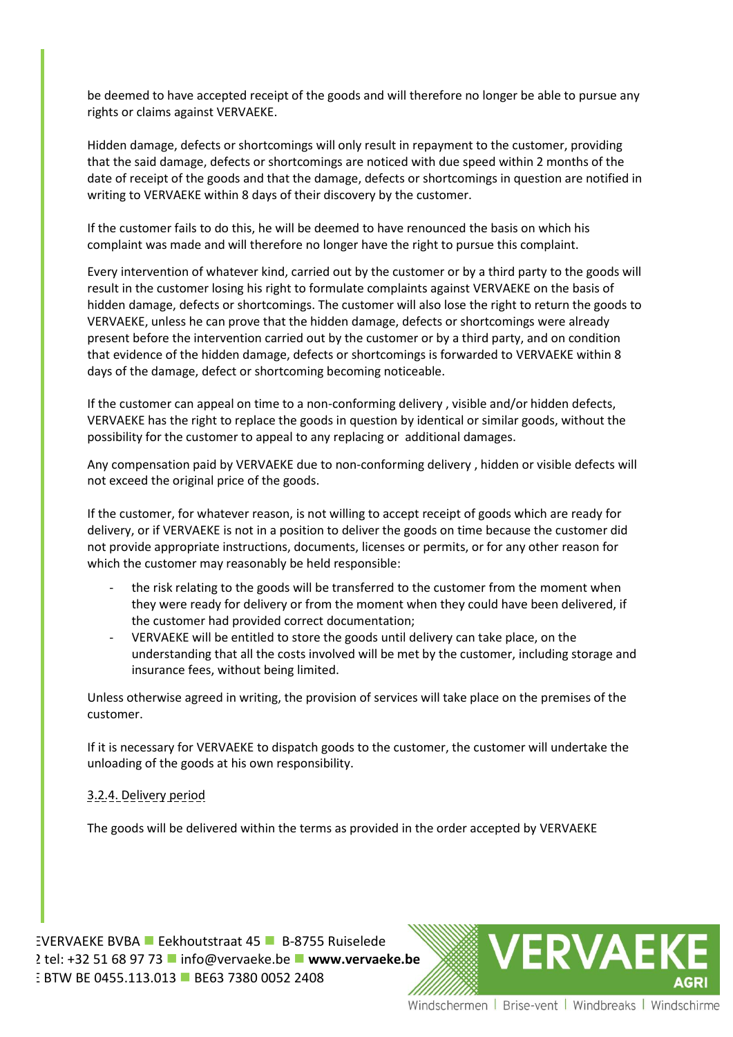be deemed to have accepted receipt of the goods and will therefore no longer be able to pursue any rights or claims against VERVAEKE.

Hidden damage, defects or shortcomings will only result in repayment to the customer, providing that the said damage, defects or shortcomings are noticed with due speed within 2 months of the date of receipt of the goods and that the damage, defects or shortcomings in question are notified in writing to VERVAEKE within 8 days of their discovery by the customer.

If the customer fails to do this, he will be deemed to have renounced the basis on which his complaint was made and will therefore no longer have the right to pursue this complaint.

Every intervention of whatever kind, carried out by the customer or by a third party to the goods will result in the customer losing his right to formulate complaints against VERVAEKE on the basis of hidden damage, defects or shortcomings. The customer will also lose the right to return the goods to VERVAEKE, unless he can prove that the hidden damage, defects or shortcomings were already present before the intervention carried out by the customer or by a third party, and on condition that evidence of the hidden damage, defects or shortcomings is forwarded to VERVAEKE within 8 days of the damage, defect or shortcoming becoming noticeable.

If the customer can appeal on time to a non-conforming delivery , visible and/or hidden defects, VERVAEKE has the right to replace the goods in question by identical or similar goods, without the possibility for the customer to appeal to any replacing or additional damages.

Any compensation paid by VERVAEKE due to non-conforming delivery , hidden or visible defects will not exceed the original price of the goods.

If the customer, for whatever reason, is not willing to accept receipt of goods which are ready for delivery, or if VERVAEKE is not in a position to deliver the goods on time because the customer did not provide appropriate instructions, documents, licenses or permits, or for any other reason for which the customer may reasonably be held responsible:

- the risk relating to the goods will be transferred to the customer from the moment when they were ready for delivery or from the moment when they could have been delivered, if the customer had provided correct documentation;
- VERVAEKE will be entitled to store the goods until delivery can take place, on the understanding that all the costs involved will be met by the customer, including storage and insurance fees, without being limited.

Unless otherwise agreed in writing, the provision of services will take place on the premises of the customer.

If it is necessary for VERVAEKE to dispatch goods to the customer, the customer will undertake the unloading of the goods at his own responsibility.

### 3.2.4. Delivery period

The goods will be delivered within the terms as provided in the order accepted by VERVAEKE

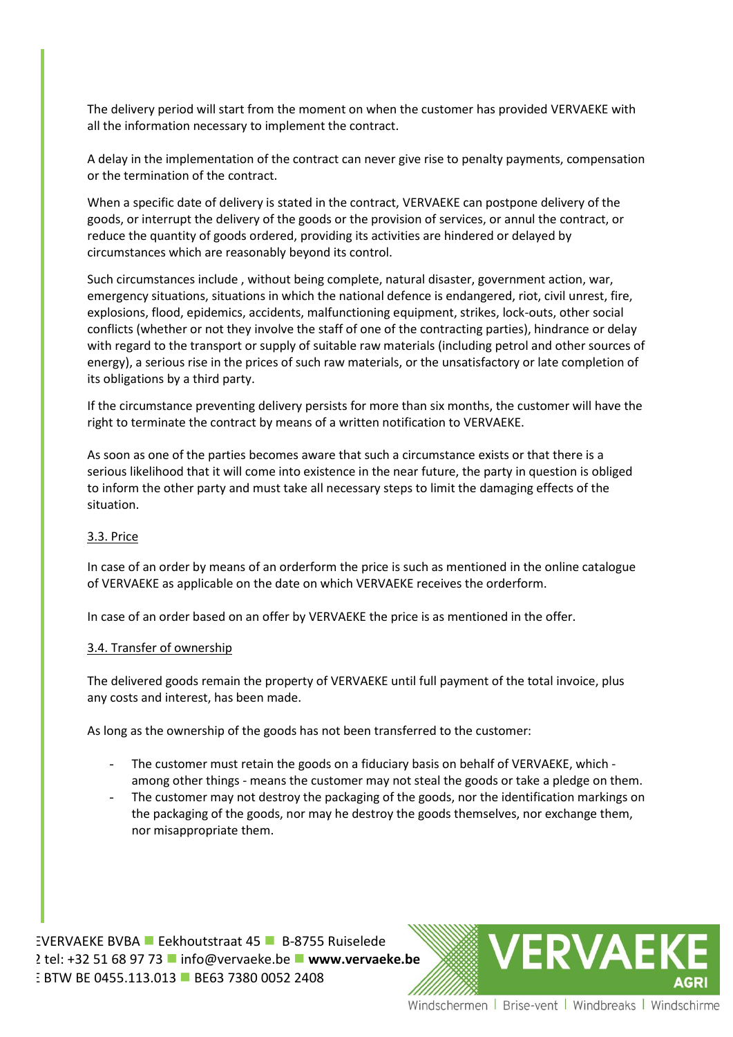The delivery period will start from the moment on when the customer has provided VERVAEKE with all the information necessary to implement the contract.

A delay in the implementation of the contract can never give rise to penalty payments, compensation or the termination of the contract.

When a specific date of delivery is stated in the contract, VERVAEKE can postpone delivery of the goods, or interrupt the delivery of the goods or the provision of services, or annul the contract, or reduce the quantity of goods ordered, providing its activities are hindered or delayed by circumstances which are reasonably beyond its control.

Such circumstances include , without being complete, natural disaster, government action, war, emergency situations, situations in which the national defence is endangered, riot, civil unrest, fire, explosions, flood, epidemics, accidents, malfunctioning equipment, strikes, lock-outs, other social conflicts (whether or not they involve the staff of one of the contracting parties), hindrance or delay with regard to the transport or supply of suitable raw materials (including petrol and other sources of energy), a serious rise in the prices of such raw materials, or the unsatisfactory or late completion of its obligations by a third party.

If the circumstance preventing delivery persists for more than six months, the customer will have the right to terminate the contract by means of a written notification to VERVAEKE.

As soon as one of the parties becomes aware that such a circumstance exists or that there is a serious likelihood that it will come into existence in the near future, the party in question is obliged to inform the other party and must take all necessary steps to limit the damaging effects of the situation.

### 3.3. Price

In case of an order by means of an orderform the price is such as mentioned in the online catalogue of VERVAEKE as applicable on the date on which VERVAEKE receives the orderform.

In case of an order based on an offer by VERVAEKE the price is as mentioned in the offer.

#### 3.4. Transfer of ownership

The delivered goods remain the property of VERVAEKE until full payment of the total invoice, plus any costs and interest, has been made.

As long as the ownership of the goods has not been transferred to the customer:

- The customer must retain the goods on a fiduciary basis on behalf of VERVAEKE, which among other things - means the customer may not steal the goods or take a pledge on them.
- The customer may not destroy the packaging of the goods, nor the identification markings on the packaging of the goods, nor may he destroy the goods themselves, nor exchange them, nor misappropriate them.

VERVAEVERVAEKE BVBA Eekhoutstraat 45 B-8755 Ruiselede 2 tel: +32 51 68 97 73 **■** [info@vervaeke.be](mailto:info@vervaeke.be) ■ [www.vervaeke.be](http://www.vervaeke.be/) BTW BE BTW BE 0455.113.013 BE63 7380 0052 2408

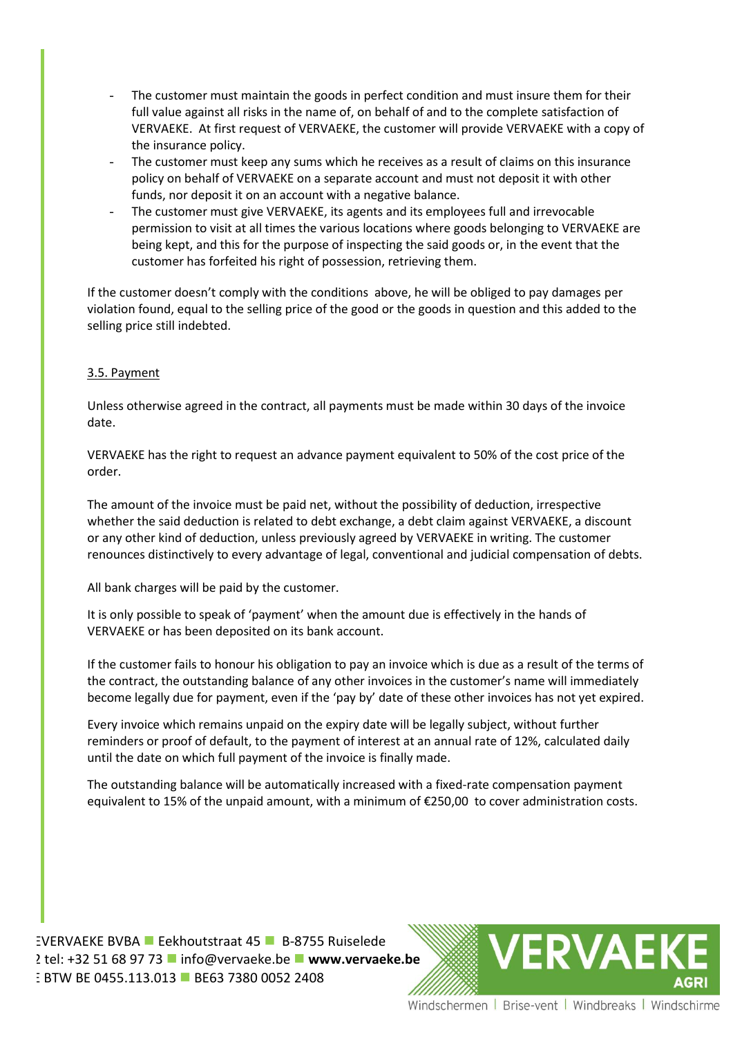- The customer must maintain the goods in perfect condition and must insure them for their full value against all risks in the name of, on behalf of and to the complete satisfaction of VERVAEKE. At first request of VERVAEKE, the customer will provide VERVAEKE with a copy of the insurance policy.
- The customer must keep any sums which he receives as a result of claims on this insurance policy on behalf of VERVAEKE on a separate account and must not deposit it with other funds, nor deposit it on an account with a negative balance.
- The customer must give VERVAEKE, its agents and its employees full and irrevocable permission to visit at all times the various locations where goods belonging to VERVAEKE are being kept, and this for the purpose of inspecting the said goods or, in the event that the customer has forfeited his right of possession, retrieving them.

If the customer doesn't comply with the conditions above, he will be obliged to pay damages per violation found, equal to the selling price of the good or the goods in question and this added to the selling price still indebted.

# 3.5. Payment

Unless otherwise agreed in the contract, all payments must be made within 30 days of the invoice date.

VERVAEKE has the right to request an advance payment equivalent to 50% of the cost price of the order.

The amount of the invoice must be paid net, without the possibility of deduction, irrespective whether the said deduction is related to debt exchange, a debt claim against VERVAEKE, a discount or any other kind of deduction, unless previously agreed by VERVAEKE in writing. The customer renounces distinctively to every advantage of legal, conventional and judicial compensation of debts.

All bank charges will be paid by the customer.

It is only possible to speak of 'payment' when the amount due is effectively in the hands of VERVAEKE or has been deposited on its bank account.

If the customer fails to honour his obligation to pay an invoice which is due as a result of the terms of the contract, the outstanding balance of any other invoices in the customer's name will immediately become legally due for payment, even if the 'pay by' date of these other invoices has not yet expired.

Every invoice which remains unpaid on the expiry date will be legally subject, without further reminders or proof of default, to the payment of interest at an annual rate of 12%, calculated daily until the date on which full payment of the invoice is finally made.

The outstanding balance will be automatically increased with a fixed-rate compensation payment equivalent to 15% of the unpaid amount, with a minimum of €250,00 to cover administration costs.

VERVAEVERVAEKE BVBA Eekhoutstraat 45 B-8755 Ruiselede 2 tel: +32 51 68 97 73 **■** [info@vervaeke.be](mailto:info@vervaeke.be) ■ [www.vervaeke.be](http://www.vervaeke.be/) BTW BE BTW BE 0455.113.013 BE63 7380 0052 2408

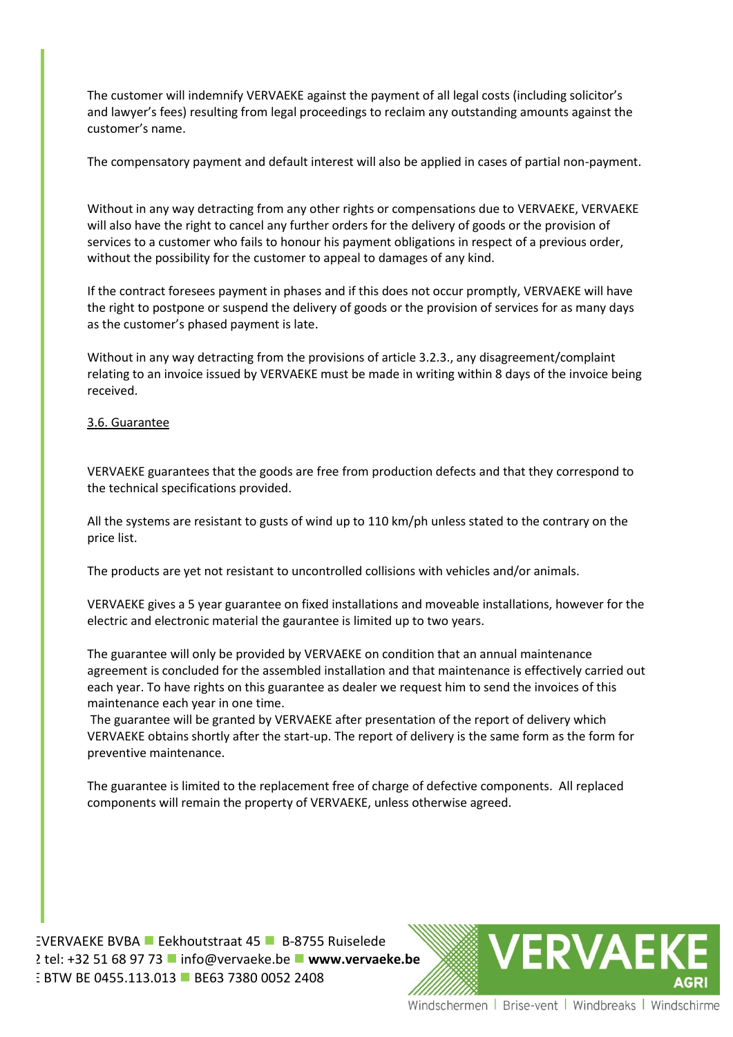The customer will indemnify VERVAEKE against the payment of all legal costs (including solicitor's and lawyer's fees) resulting from legal proceedings to reclaim any outstanding amounts against the customer's name.

The compensatory payment and default interest will also be applied in cases of partial non-payment.

Without in any way detracting from any other rights or compensations due to VERVAEKE, VERVAEKE will also have the right to cancel any further orders for the delivery of goods or the provision of services to a customer who fails to honour his payment obligations in respect of a previous order, without the possibility for the customer to appeal to damages of any kind.

If the contract foresees payment in phases and if this does not occur promptly, VERVAEKE will have the right to postpone or suspend the delivery of goods or the provision of services for as many days as the customer's phased payment is late.

Without in any way detracting from the provisions of article 3.2.3., any disagreement/complaint relating to an invoice issued by VERVAEKE must be made in writing within 8 days of the invoice being received.

# 3.6. Guarantee

VERVAEKE guarantees that the goods are free from production defects and that they correspond to the technical specifications provided.

All the systems are resistant to gusts of wind up to 110 km/ph unless stated to the contrary on the price list.

The products are yet not resistant to uncontrolled collisions with vehicles and/or animals.

VERVAEKE gives a 5 year guarantee on fixed installations and moveable installations, however for the electric and electronic material the gaurantee is limited up to two years.

The guarantee will only be provided by VERVAEKE on condition that an annual maintenance agreement is concluded for the assembled installation and that maintenance is effectively carried out each year. To have rights on this guarantee as dealer we request him to send the invoices of this maintenance each year in one time.

The guarantee will be granted by VERVAEKE after presentation of the report of delivery which VERVAEKE obtains shortly after the start-up. The report of delivery is the same form as the form for preventive maintenance.

The guarantee is limited to the replacement free of charge of defective components. All replaced components will remain the property of VERVAEKE, unless otherwise agreed.

VERVAEVERVAEKE BVBA Eekhoutstraat 45 B-8755 Ruiselede 2 tel: +32 51 68 97 73 **■** [info@vervaeke.be](mailto:info@vervaeke.be) ■ [www.vervaeke.be](http://www.vervaeke.be/) BTW BE BTW BE 0455.113.013 BE63 7380 0052 2408

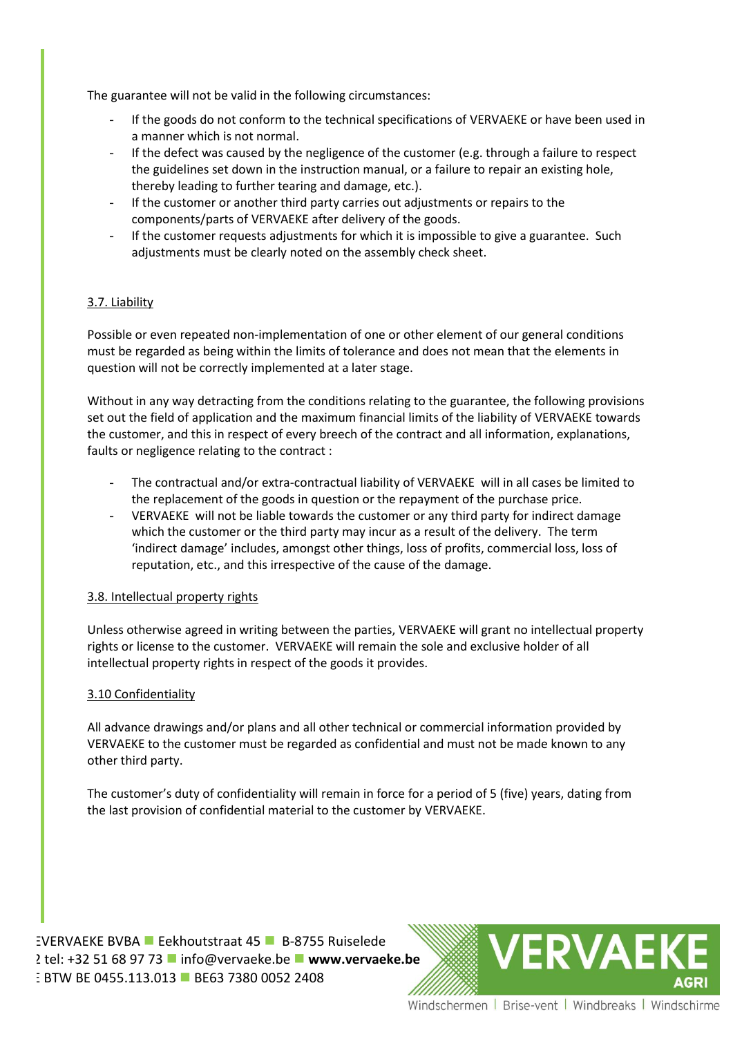The guarantee will not be valid in the following circumstances:

- If the goods do not conform to the technical specifications of VERVAEKE or have been used in a manner which is not normal.
- If the defect was caused by the negligence of the customer (e.g. through a failure to respect the guidelines set down in the instruction manual, or a failure to repair an existing hole, thereby leading to further tearing and damage, etc.).
- If the customer or another third party carries out adjustments or repairs to the components/parts of VERVAEKE after delivery of the goods.
- If the customer requests adjustments for which it is impossible to give a guarantee. Such adjustments must be clearly noted on the assembly check sheet.

# 3.7. Liability

Possible or even repeated non-implementation of one or other element of our general conditions must be regarded as being within the limits of tolerance and does not mean that the elements in question will not be correctly implemented at a later stage.

Without in any way detracting from the conditions relating to the guarantee, the following provisions set out the field of application and the maximum financial limits of the liability of VERVAEKE towards the customer, and this in respect of every breech of the contract and all information, explanations, faults or negligence relating to the contract :

- The contractual and/or extra-contractual liability of VERVAEKE will in all cases be limited to the replacement of the goods in question or the repayment of the purchase price.
- VERVAEKE will not be liable towards the customer or any third party for indirect damage which the customer or the third party may incur as a result of the delivery. The term 'indirect damage' includes, amongst other things, loss of profits, commercial loss, loss of reputation, etc., and this irrespective of the cause of the damage.

### 3.8. Intellectual property rights

Unless otherwise agreed in writing between the parties, VERVAEKE will grant no intellectual property rights or license to the customer. VERVAEKE will remain the sole and exclusive holder of all intellectual property rights in respect of the goods it provides.

### 3.10 Confidentiality

All advance drawings and/or plans and all other technical or commercial information provided by VERVAEKE to the customer must be regarded as confidential and must not be made known to any other third party.

The customer's duty of confidentiality will remain in force for a period of 5 (five) years, dating from the last provision of confidential material to the customer by VERVAEKE.

EVERVAEKE BVBA **E** Eekhoutstraat 45 **B**-8755 Ruiselede 2 tel: +32 51 68 97 73 **■** [info@vervaeke.be](mailto:info@vervaeke.be) ■ [www.vervaeke.be](http://www.vervaeke.be/) BTW BE BTW BE 0455.113.013 BE63 7380 0052 2408

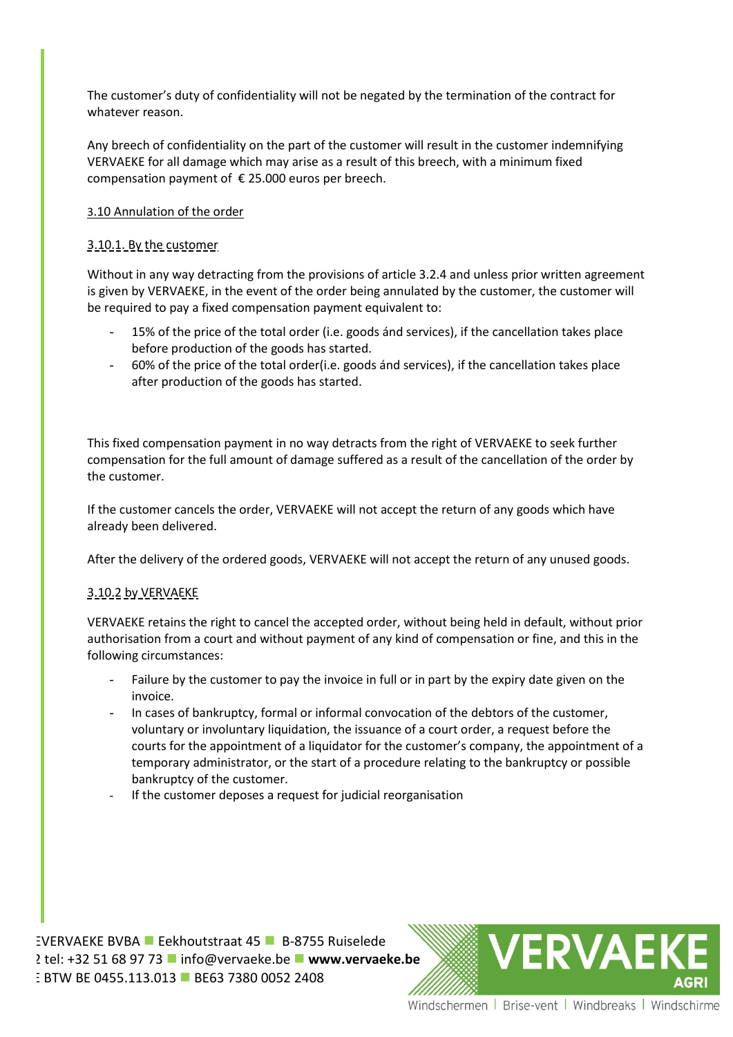The customer's duty of confidentiality will not be negated by the termination of the contract for whatever reason.

Any breech of confidentiality on the part of the customer will result in the customer indemnifying VERVAEKE for all damage which may arise as a result of this breech, with a minimum fixed compensation payment of  $\epsilon$  25.000 euros per breech.

# 3.10 Annulation of the order

# 3.10.1. By the customer

Without in any way detracting from the provisions of article 3.2.4 and unless prior written agreement is given by VERVAEKE, in the event of the order being annulated by the customer, the customer will be required to pay a fixed compensation payment equivalent to:

- 15% of the price of the total order (i.e. goods ánd services), if the cancellation takes place before production of the goods has started.
- 60% of the price of the total order(i.e. goods ánd services), if the cancellation takes place after production of the goods has started.

This fixed compensation payment in no way detracts from the right of VERVAEKE to seek further compensation for the full amount of damage suffered as a result of the cancellation of the order by the customer.

If the customer cancels the order, VERVAEKE will not accept the return of any goods which have already been delivered.

After the delivery of the ordered goods, VERVAEKE will not accept the return of any unused goods.

### 3.10.2 by VERVAEKE

VERVAEKE retains the right to cancel the accepted order, without being held in default, without prior authorisation from a court and without payment of any kind of compensation or fine, and this in the following circumstances:

- Failure by the customer to pay the invoice in full or in part by the expiry date given on the invoice.
- In cases of bankruptcy, formal or informal convocation of the debtors of the customer, voluntary or involuntary liquidation, the issuance of a court order, a request before the courts for the appointment of a liquidator for the customer's company, the appointment of a temporary administrator, or the start of a procedure relating to the bankruptcy or possible bankruptcy of the customer.
- If the customer deposes a request for judicial reorganisation

EVERVAEKE BVBA **E** Eekhoutstraat 45 **B**-8755 Ruiselede 2 tel: +32 51 68 97 73 **■** [info@vervaeke.be](mailto:info@vervaeke.be) ■ [www.vervaeke.be](http://www.vervaeke.be/) BTW BE BTW BE 0455.113.013 BE63 7380 0052 2408